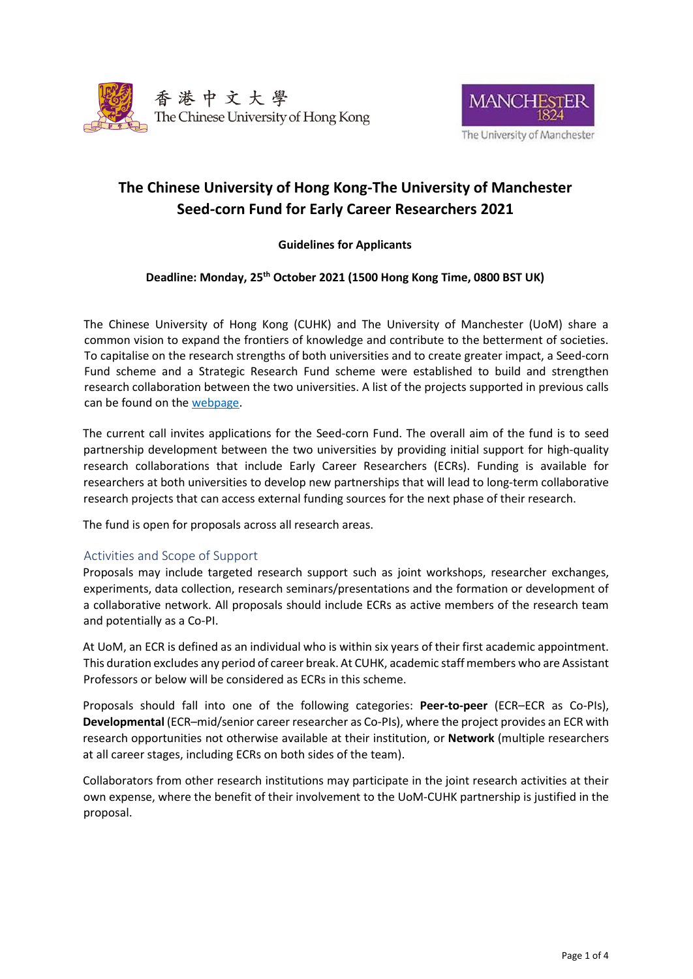



# **The Chinese University of Hong Kong-The University of Manchester Seed-corn Fund for Early Career Researchers 2021**

# **Guidelines for Applicants**

# **Deadline: Monday, 25th October 2021 (1500 Hong Kong Time, 0800 BST UK)**

The Chinese University of Hong Kong (CUHK) and The University of Manchester (UoM) share a common vision to expand the frontiers of knowledge and contribute to the betterment of societies. To capitalise on the research strengths of both universities and to create greater impact, a Seed-corn Fund scheme and a Strategic Research Fund scheme were established to build and strengthen research collaboration between the two universities. A list of the projects supported in previous calls can be found on the [webpage.](https://www.manchester.ac.uk/collaborate/worldwide/collaborations/manchester-cuhk-research-fund/)

The current call invites applications for the Seed-corn Fund. The overall aim of the fund is to seed partnership development between the two universities by providing initial support for high-quality research collaborations that include Early Career Researchers (ECRs). Funding is available for researchers at both universities to develop new partnerships that will lead to long-term collaborative research projects that can access external funding sources for the next phase of their research.

The fund is open for proposals across all research area[s.](http://hallmarkinitiatives.unimelb.edu.au/)

## Activities and Scope of Support

Proposals may include targeted research support such as joint workshops, researcher exchanges, experiments, data collection, research seminars/presentations and the formation or development of a collaborative network. All proposals should include ECRs as active members of the research team and potentially as a Co-PI.

At UoM, an ECR is defined as an individual who is within six years of their first academic appointment. This duration excludes any period of career break. At CUHK, academic staff members who are Assistant Professors or below will be considered as ECRs in this scheme.

Proposals should fall into one of the following categories: **Peer-to-peer** (ECR–ECR as Co-PIs), **Developmental** (ECR–mid/senior career researcher as Co-PIs), where the project provides an ECR with research opportunities not otherwise available at their institution, or **Network** (multiple researchers at all career stages, including ECRs on both sides of the team).

Collaborators from other research institutions may participate in the joint research activities at their own expense, where the benefit of their involvement to the UoM-CUHK partnership is justified in the proposal.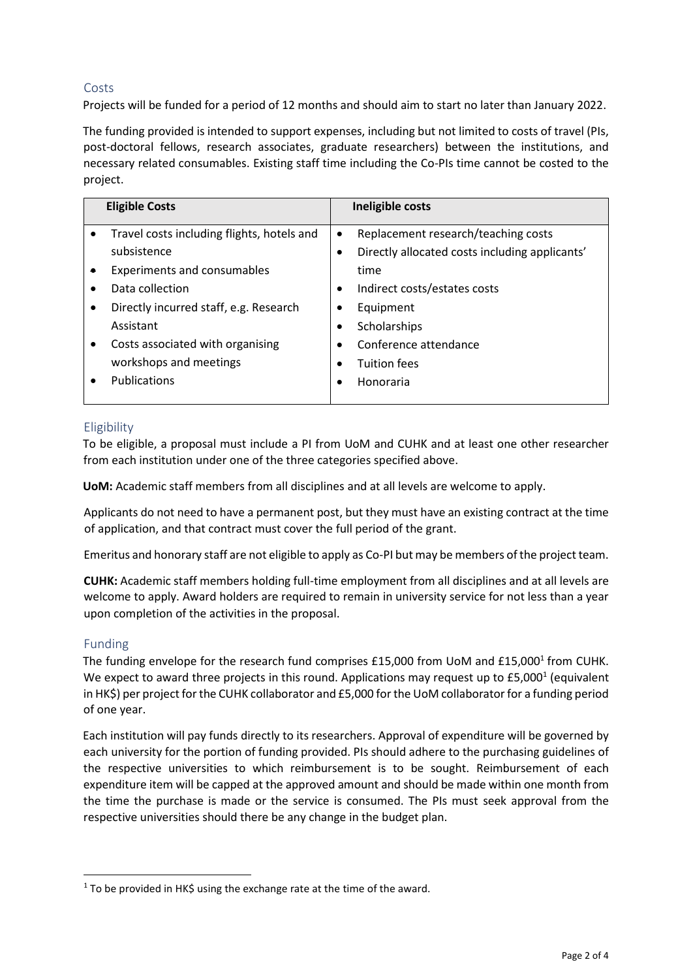# Costs

Projects will be funded for a period of 12 months and should aim to start no later than January 2022.

The funding provided is intended to support expenses, including but not limited to costs of travel (PIs, post-doctoral fellows, research associates, graduate researchers) between the institutions, and necessary related consumables. Existing staff time including the Co-PIs time cannot be costed to the project.

| <b>Eligible Costs</b> |                                            | Ineligible costs |                                                |
|-----------------------|--------------------------------------------|------------------|------------------------------------------------|
| ٠                     | Travel costs including flights, hotels and | $\bullet$        | Replacement research/teaching costs            |
|                       | subsistence                                |                  | Directly allocated costs including applicants' |
|                       | <b>Experiments and consumables</b>         |                  | time                                           |
|                       | Data collection                            | ٠                | Indirect costs/estates costs                   |
|                       | Directly incurred staff, e.g. Research     |                  | Equipment                                      |
|                       | Assistant                                  |                  | Scholarships                                   |
| ٠                     | Costs associated with organising           |                  | Conference attendance                          |
|                       | workshops and meetings                     |                  | <b>Tuition fees</b>                            |
|                       | Publications                               |                  | Honoraria                                      |
|                       |                                            |                  |                                                |

# Eligibility

To be eligible, a proposal must include a PI from UoM and CUHK and at least one other researcher from each institution under one of the three categories specified above.

**UoM:** Academic staff members from all disciplines and at all levels are welcome to apply.

Applicants do not need to have a permanent post, but they must have an existing contract at the time of application, and that contract must cover the full period of the grant.

Emeritus and honorary staff are not eligible to apply as Co-PI but may be members of the project team.

**CUHK:** Academic staff members holding full-time employment from all disciplines and at all levels are welcome to apply. Award holders are required to remain in university service for not less than a year upon completion of the activities in the proposal.

## Funding

The funding envelope for the research fund comprises  $£15,000$  from UoM and  $£15,000$ <sup>1</sup> from CUHK. We expect to award three projects in this round. Applications may request up to £5,000<sup>1</sup> (equivalent in HK\$) per project for the CUHK collaborator and £5,000 for the UoM collaborator for a funding period of one year.

Each institution will pay funds directly to its researchers. Approval of expenditure will be governed by each university for the portion of funding provided. PIs should adhere to the purchasing guidelines of the respective universities to which reimbursement is to be sought. Reimbursement of each expenditure item will be capped at the approved amount and should be made within one month from the time the purchase is made or the service is consumed. The PIs must seek approval from the respective universities should there be any change in the budget plan.

 $1$  To be provided in HK\$ using the exchange rate at the time of the award.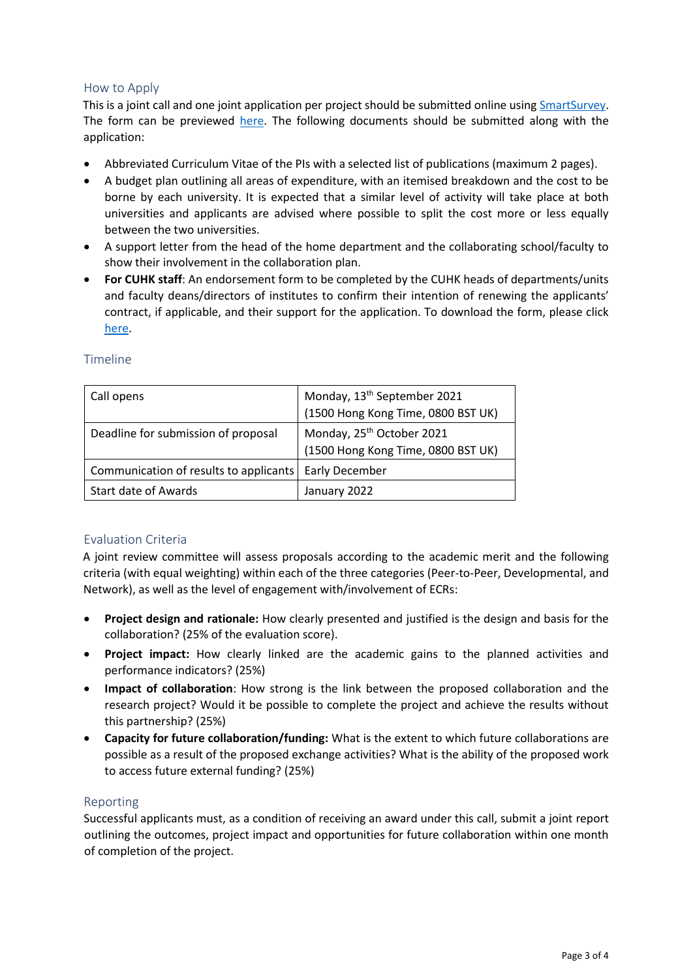#### How to Apply

This is a joint call and one joint application per project should be submitted online using [SmartSurvey](https://www.smartsurvey.co.uk/s/UoM-CUHK-2021/)[.](https://www.smartsurvey.co.uk/s/Mel-Man2019/) The form can be previewed [here.](https://www.smartsurvey.co.uk/s/preview/UoM-CUHK-2021/FBFFCDBBF0D977722044937463DB47) The following documents should be submitted along with the application:

- Abbreviated Curriculum Vitae of the PIs with a selected list of publications (maximum 2 pages).
- A budget plan outlining all areas of expenditure, with an itemised breakdown and the cost to be borne by each university. It is expected that a similar level of activity will take place at both universities and applicants are advised where possible to split the cost more or less equally between the two universities.
- A support letter from the head of the home department and the collaborating school/faculty to show their involvement in the collaboration plan.
- **For CUHK staff**: An endorsement form to be completed by the CUHK heads of departments/units and faculty deans/directors of institutes to confirm their intention of renewing the applicants' contract, if applicable, and their support for the application. To download the form, please click [here.](http://www.oal.cuhk.edu.hk/files/linkage/CUHK-UoM/CUHK-Manchester%20Research_Fund%20-%20Endorsement_Form.docx)

| Call opens                             | Monday, 13 <sup>th</sup> September 2021 |
|----------------------------------------|-----------------------------------------|
|                                        | (1500 Hong Kong Time, 0800 BST UK)      |
| Deadline for submission of proposal    | Monday, 25 <sup>th</sup> October 2021   |
|                                        | (1500 Hong Kong Time, 0800 BST UK)      |
| Communication of results to applicants | Early December                          |
| Start date of Awards                   | January 2022                            |

#### Timeline

## Evaluation Criteria

A joint review committee will assess proposals according to the academic merit and the following criteria (with equal weighting) within each of the three categories (Peer-to-Peer, Developmental, and Network), as well as the level of engagement with/involvement of ECRs:

- **Project design and rationale:** How clearly presented and justified is the design and basis for the collaboration? (25% of the evaluation score).
- **Project impact:** How clearly linked are the academic gains to the planned activities and performance indicators? (25%)
- **Impact of collaboration**: How strong is the link between the proposed collaboration and the research project? Would it be possible to complete the project and achieve the results without this partnership? (25%)
- **Capacity for future collaboration/funding:** What is the extent to which future collaborations are possible as a result of the proposed exchange activities? What is the ability of the proposed work to access future external funding? (25%)

#### Reporting

Successful applicants must, as a condition of receiving an award under this call, submit a joint report outlining the outcomes, project impact and opportunities for future collaboration within one month of completion of the project.